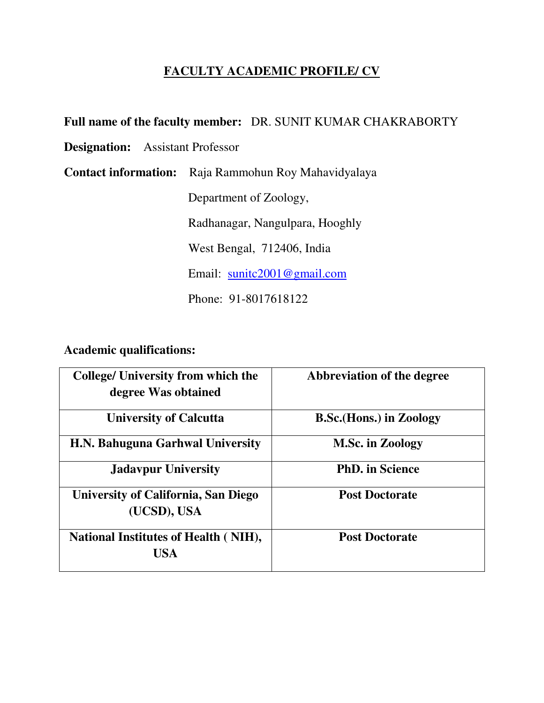# **FACULTY ACADEMIC PROFILE/ CV**

### **Full name of the faculty member:** DR. SUNIT KUMAR CHAKRABORTY

**Designation:** Assistant Professor

**Contact information:** Raja Rammohun Roy Mahavidyalaya

Department of Zoology,

Radhanagar, Nangulpara, Hooghly

West Bengal, 712406, India

Email: sunitc2001@gmail.com

Phone: 91-8017618122

**Academic qualifications:** 

| <b>College/ University from which the</b><br>degree Was obtained | Abbreviation of the degree      |
|------------------------------------------------------------------|---------------------------------|
| <b>University of Calcutta</b>                                    | <b>B.Sc.</b> (Hons.) in Zoology |
| H.N. Bahuguna Garhwal University                                 | <b>M.Sc. in Zoology</b>         |
| <b>Jadavpur University</b>                                       | <b>PhD.</b> in Science          |
| University of California, San Diego<br>(UCSD), USA               | <b>Post Doctorate</b>           |
| <b>National Institutes of Health (NIH),</b><br><b>USA</b>        | <b>Post Doctorate</b>           |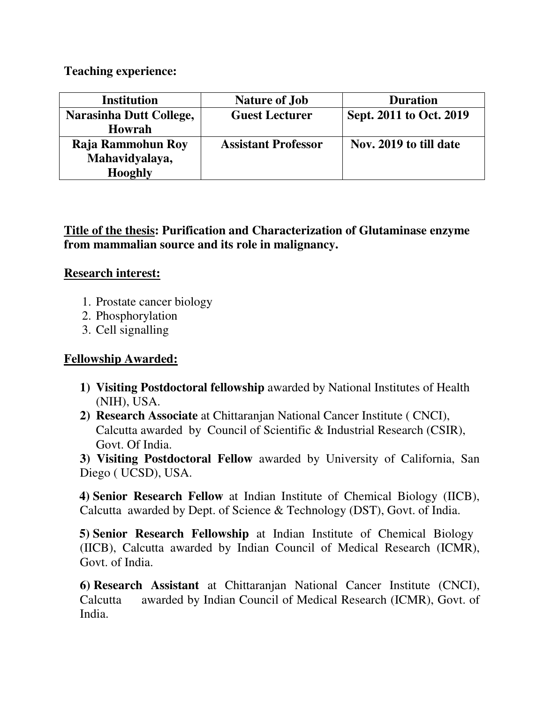### **Teaching experience:**

| <b>Institution</b>      | <b>Nature of Job</b>       | <b>Duration</b>         |
|-------------------------|----------------------------|-------------------------|
| Narasinha Dutt College, | <b>Guest Lecturer</b>      | Sept. 2011 to Oct. 2019 |
| <b>Howrah</b>           |                            |                         |
| Raja Rammohun Roy       | <b>Assistant Professor</b> | Nov. 2019 to till date  |
| Mahavidyalaya,          |                            |                         |
| <b>Hooghly</b>          |                            |                         |

# **Title of the thesis: Purification and Characterization of Glutaminase enzyme from mammalian source and its role in malignancy.**

## **Research interest:**

- 1. Prostate cancer biology
- 2. Phosphorylation
- 3. Cell signalling

## **Fellowship Awarded:**

- **1) Visiting Postdoctoral fellowship** awarded by National Institutes of Health (NIH), USA.
- **2) Research Associate** at Chittaranjan National Cancer Institute ( CNCI), Calcutta awarded by Council of Scientific & Industrial Research (CSIR), Govt. Of India.

**3) Visiting Postdoctoral Fellow** awarded by University of California, San Diego ( UCSD), USA.

 **4) Senior Research Fellow** at Indian Institute of Chemical Biology (IICB), Calcutta awarded by Dept. of Science & Technology (DST), Govt. of India.

 **5) Senior Research Fellowship** at Indian Institute of Chemical Biology (IICB), Calcutta awarded by Indian Council of Medical Research (ICMR), Govt. of India.

**6) Research Assistant** at Chittaranjan National Cancer Institute (CNCI), Calcutta awarded by Indian Council of Medical Research (ICMR), Govt. of India.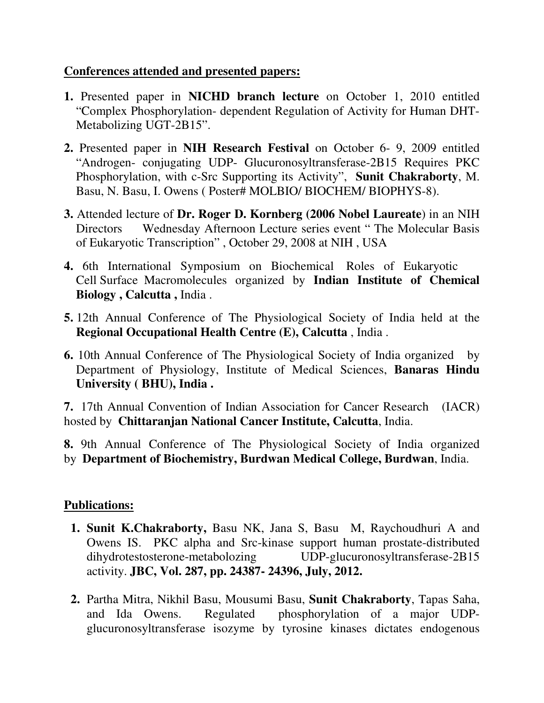### **Conferences attended and presented papers:**

- **1.** Presented paper in **NICHD branch lecture** on October 1, 2010 entitled "Complex Phosphorylation- dependent Regulation of Activity for Human DHT-Metabolizing UGT-2B15".
- **2.** Presented paper in **NIH Research Festival** on October 6- 9, 2009 entitled "Androgen- conjugating UDP- Glucuronosyltransferase-2B15 Requires PKC Phosphorylation, with c-Src Supporting its Activity", **Sunit Chakraborty**, M. Basu, N. Basu, I. Owens ( Poster# MOLBIO/ BIOCHEM/ BIOPHYS-8).
- **3.** Attended lecture of **Dr. Roger D. Kornberg (2006 Nobel Laureate**) in an NIH Directors Wednesday Afternoon Lecture series event " The Molecular Basis of Eukaryotic Transcription" , October 29, 2008 at NIH , USA
- **4.** 6th International Symposium on Biochemical Roles of Eukaryotic Cell Surface Macromolecules organized by **Indian Institute of Chemical Biology , Calcutta ,** India .
- **5.** 12th Annual Conference of The Physiological Society of India held at the **Regional Occupational Health Centre (E), Calcutta** , India .
- **6.** 10th Annual Conference of The Physiological Society of India organized by Department of Physiology, Institute of Medical Sciences, **Banaras Hindu University ( BHU), India .**

**7.** 17th Annual Convention of Indian Association for Cancer Research (IACR) hosted by **Chittaranjan National Cancer Institute, Calcutta**, India.

**8.** 9th Annual Conference of The Physiological Society of India organized by **Department of Biochemistry, Burdwan Medical College, Burdwan**, India.

## **Publications:**

- **1. Sunit K.Chakraborty,** Basu NK, Jana S, Basu M, Raychoudhuri A and Owens IS. PKC alpha and Src-kinase support human prostate-distributed dihydrotestosterone-metabolozing UDP-glucuronosyltransferase-2B15 activity. **JBC, Vol. 287, pp. 24387- 24396, July, 2012.**
- **2.** Partha Mitra, Nikhil Basu, Mousumi Basu, **Sunit Chakraborty**, Tapas Saha, and Ida Owens. Regulated phosphorylation of a major UDPglucuronosyltransferase isozyme by tyrosine kinases dictates endogenous